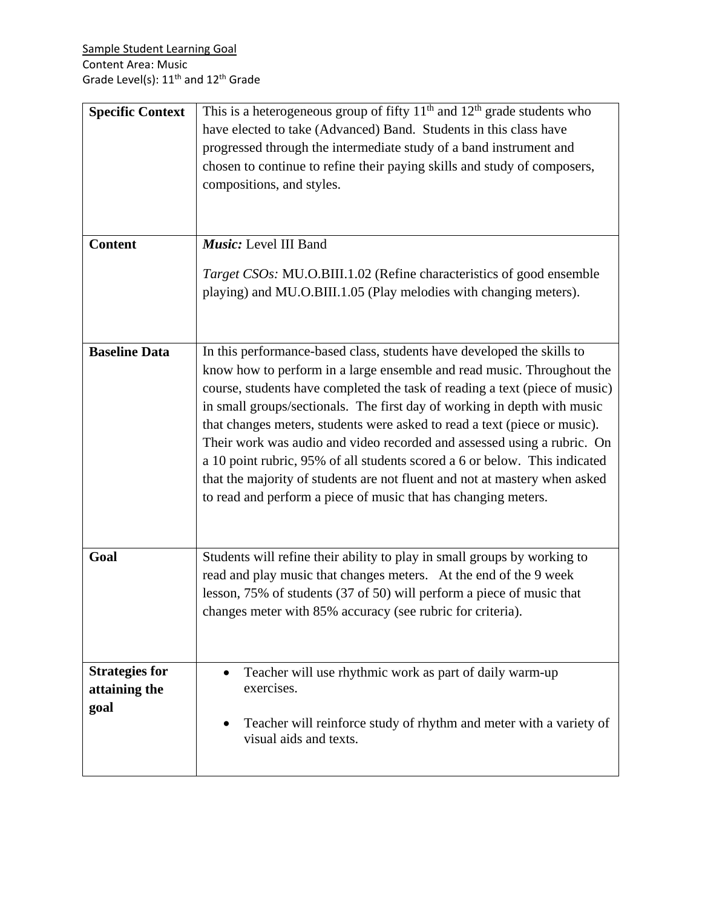| <b>Specific Context</b><br><b>Content</b>      | This is a heterogeneous group of fifty $11th$ and $12th$ grade students who<br>have elected to take (Advanced) Band. Students in this class have<br>progressed through the intermediate study of a band instrument and<br>chosen to continue to refine their paying skills and study of composers,<br>compositions, and styles.<br>Music: Level III Band<br>Target CSOs: MU.O.BIII.1.02 (Refine characteristics of good ensemble<br>playing) and MU.O.BIII.1.05 (Play melodies with changing meters).                                                                                                                                                                                             |
|------------------------------------------------|---------------------------------------------------------------------------------------------------------------------------------------------------------------------------------------------------------------------------------------------------------------------------------------------------------------------------------------------------------------------------------------------------------------------------------------------------------------------------------------------------------------------------------------------------------------------------------------------------------------------------------------------------------------------------------------------------|
|                                                |                                                                                                                                                                                                                                                                                                                                                                                                                                                                                                                                                                                                                                                                                                   |
| <b>Baseline Data</b>                           | In this performance-based class, students have developed the skills to<br>know how to perform in a large ensemble and read music. Throughout the<br>course, students have completed the task of reading a text (piece of music)<br>in small groups/sectionals. The first day of working in depth with music<br>that changes meters, students were asked to read a text (piece or music).<br>Their work was audio and video recorded and assessed using a rubric. On<br>a 10 point rubric, 95% of all students scored a 6 or below. This indicated<br>that the majority of students are not fluent and not at mastery when asked<br>to read and perform a piece of music that has changing meters. |
| Goal                                           | Students will refine their ability to play in small groups by working to<br>read and play music that changes meters. At the end of the 9 week<br>lesson, 75% of students (37 of 50) will perform a piece of music that<br>changes meter with 85% accuracy (see rubric for criteria).                                                                                                                                                                                                                                                                                                                                                                                                              |
| <b>Strategies for</b><br>attaining the<br>goal | Teacher will use rhythmic work as part of daily warm-up<br>exercises.<br>Teacher will reinforce study of rhythm and meter with a variety of<br>visual aids and texts.                                                                                                                                                                                                                                                                                                                                                                                                                                                                                                                             |